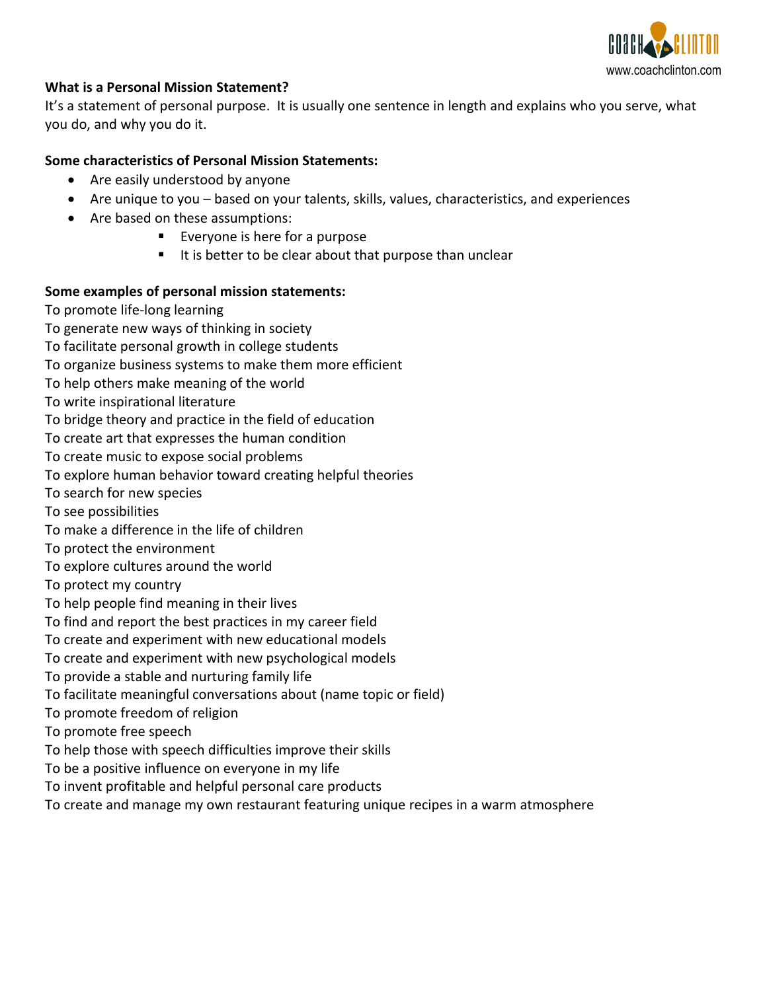

### **What is a Personal Mission Statement?**

It's a statement of personal purpose. It is usually one sentence in length and explains who you serve, what you do, and why you do it.

### **Some characteristics of Personal Mission Statements:**

- Are easily understood by anyone
- Are unique to you based on your talents, skills, values, characteristics, and experiences
- Are based on these assumptions:
	- **Everyone is here for a purpose**
	- $\blacksquare$  It is better to be clear about that purpose than unclear

#### **Some examples of personal mission statements:**

- To promote life-long learning
- To generate new ways of thinking in society
- To facilitate personal growth in college students
- To organize business systems to make them more efficient
- To help others make meaning of the world
- To write inspirational literature
- To bridge theory and practice in the field of education
- To create art that expresses the human condition
- To create music to expose social problems
- To explore human behavior toward creating helpful theories
- To search for new species
- To see possibilities
- To make a difference in the life of children
- To protect the environment
- To explore cultures around the world
- To protect my country
- To help people find meaning in their lives
- To find and report the best practices in my career field
- To create and experiment with new educational models
- To create and experiment with new psychological models
- To provide a stable and nurturing family life
- To facilitate meaningful conversations about (name topic or field)
- To promote freedom of religion
- To promote free speech
- To help those with speech difficulties improve their skills
- To be a positive influence on everyone in my life
- To invent profitable and helpful personal care products
- To create and manage my own restaurant featuring unique recipes in a warm atmosphere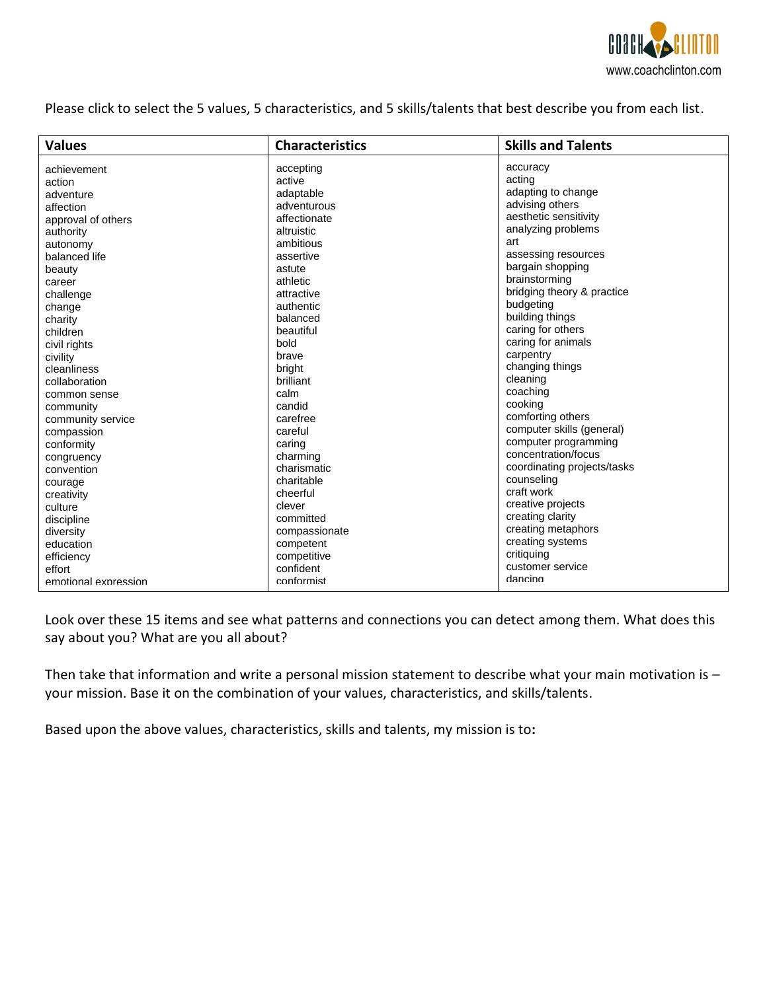

Please click to select the 5 values, 5 characteristics, and 5 skills/talents that best describe you from each list.

| <b>Values</b>        | <b>Characteristics</b> | <b>Skills and Talents</b>   |
|----------------------|------------------------|-----------------------------|
| achievement          | accepting              | accuracy                    |
| action               | active                 | acting                      |
| adventure            | adaptable              | adapting to change          |
| affection            | adventurous            | advising others             |
| approval of others   | affectionate           | aesthetic sensitivity       |
| authority            | altruistic             | analyzing problems          |
| autonomy             | ambitious              | art                         |
| balanced life        | assertive              | assessing resources         |
| beauty               | astute                 | bargain shopping            |
| career               | athletic               | brainstorming               |
| challenge            | attractive             | bridging theory & practice  |
| change               | authentic              | budgeting                   |
| charity              | balanced               | building things             |
| children             | beautiful              | caring for others           |
| civil rights         | bold                   | caring for animals          |
| civility             | brave                  | carpentry                   |
| cleanliness          | bright                 | changing things             |
| collaboration        | brilliant              | cleaning                    |
| common sense         | calm                   | coaching                    |
| community            | candid                 | cooking                     |
| community service    | carefree               | comforting others           |
| compassion           | careful                | computer skills (general)   |
| conformity           | caring                 | computer programming        |
| congruency           | charming               | concentration/focus         |
| convention           | charismatic            | coordinating projects/tasks |
| courage              | charitable             | counseling                  |
| creativity           | cheerful               | craft work                  |
| culture              | clever                 | creative projects           |
| discipline           | committed              | creating clarity            |
| diversity            | compassionate          | creating metaphors          |
| education            | competent              | creating systems            |
| efficiency           | competitive            | critiquing                  |
| effort               | confident              | customer service            |
| emotional expression | conformist             | dancing                     |

Look over these 15 items and see what patterns and connections you can detect among them. What does this say about you? What are you all about?

Then take that information and write a personal mission statement to describe what your main motivation is – your mission. Base it on the combination of your values, characteristics, and skills/talents.

Based upon the above values, characteristics, skills and talents, my mission is to**:**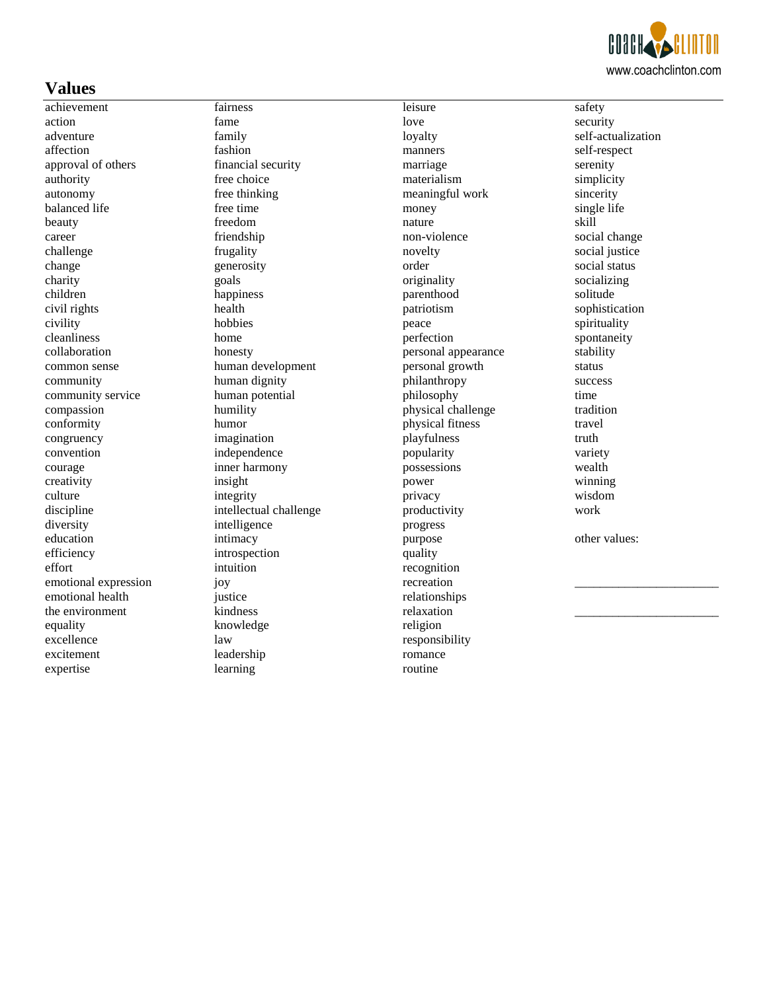

## **Values**

achievement action adventure affection approval of others authority autonomy balanced life beauty career challenge change charity children civil rights civility cleanliness collaboration common sense community community service compassion conformity congruency convention courage creativity culture discipline diversity education efficiency effort emotional expression emotional health the environment equality excellence excitement expertise

fairness fame family fashion financial security free choice free thinking free time freedom friendship frugality generosity goals happiness health hobbies home honesty human development human dignity human potential humility humor imagination independence inner harmony insight integrity intellectual challenge intelligence intimacy introspection intuition joy justice kindness knowledge law leadership learning

leisure love loyalty manners marriage materialism meaningful work money nature non-violence novelty order originality parenthood patriotism peace perfection personal appearance personal growth philanthropy philosophy physical challenge physical fitness playfulness popularity possessions power privacy productivity progress purpose quality recognition recreation relationships relaxation religion responsibility romance routine

safety security self-actualization self-respect serenity simplicity sincerity single life skill social change social justice social status socializing solitude sophistication spirituality spontaneity stability status success time tradition travel truth variety wealth winning wisdom work other values:

\_\_\_\_\_\_\_\_\_\_\_\_\_\_\_\_\_\_\_\_\_\_\_

\_\_\_\_\_\_\_\_\_\_\_\_\_\_\_\_\_\_\_\_\_\_\_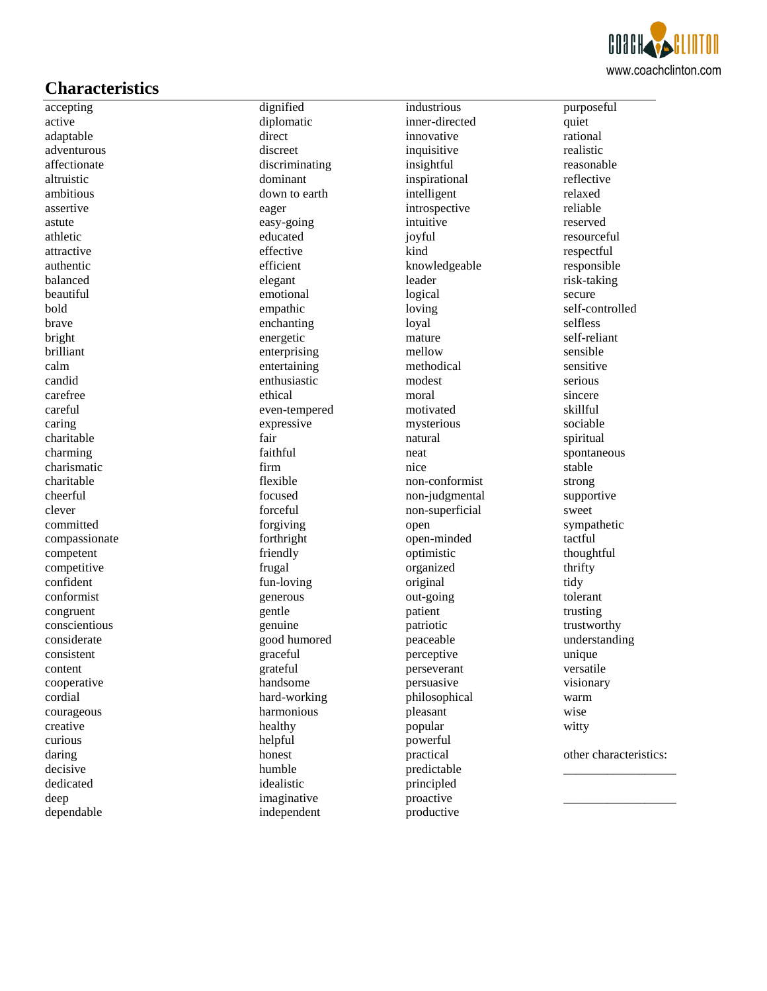

# **Characteristics**

accepting active adaptable adventurous affectionate altruistic ambitious assertive astute athletic attractive authentic balanced beautiful bold brave bright brilliant calm candid carefree careful caring charitable charming charismatic charitable cheerful clever committed compassionate competent competitive confident conformist congruent conscientious considerate consistent content cooperative cordial courageous creative curious daring decisive dedicated deep dependable

dignified diplomatic direct discreet discriminating dominant down to earth eager easy-going educated effective efficient elegant emotional empathic enchanting energetic enterprising entertaining enthusiastic ethical even-tempered expressive fair faithful firm flexible focused forceful forgiving forthright friendly frugal fun-loving generous gentle genuine good humored graceful grateful handsome hard-working harmonious healthy helpful honest humble idealistic imaginative independent

industrious inner-directed innovative inquisitive insightful inspirational intelligent introspective intuitive joyful kind knowledgeable leader logical loving loyal mature mellow methodical modest moral motivated mysterious natural neat nice non-conformist non-judgmental non-superficial open open-minded optimistic organized original out-going patient patriotic peaceable perceptive perseverant persuasive philosophical pleasant popular powerful practical predictable principled proactive productive

purposeful quiet rational realistic reasonable reflective relaxed reliable reserved resourceful respectful responsible risk-taking secure self-controlled selfless self-reliant sensible sensitive serious sincere skillful sociable spiritual spontaneous stable strong supportive sweet sympathetic tactful thoughtful thrifty tidy tolerant trusting trustworthy understanding unique versatile visionary warm wise witty

other characteristics: \_\_\_\_\_\_\_\_\_\_\_\_\_\_\_\_\_\_

\_\_\_\_\_\_\_\_\_\_\_\_\_\_\_\_\_\_